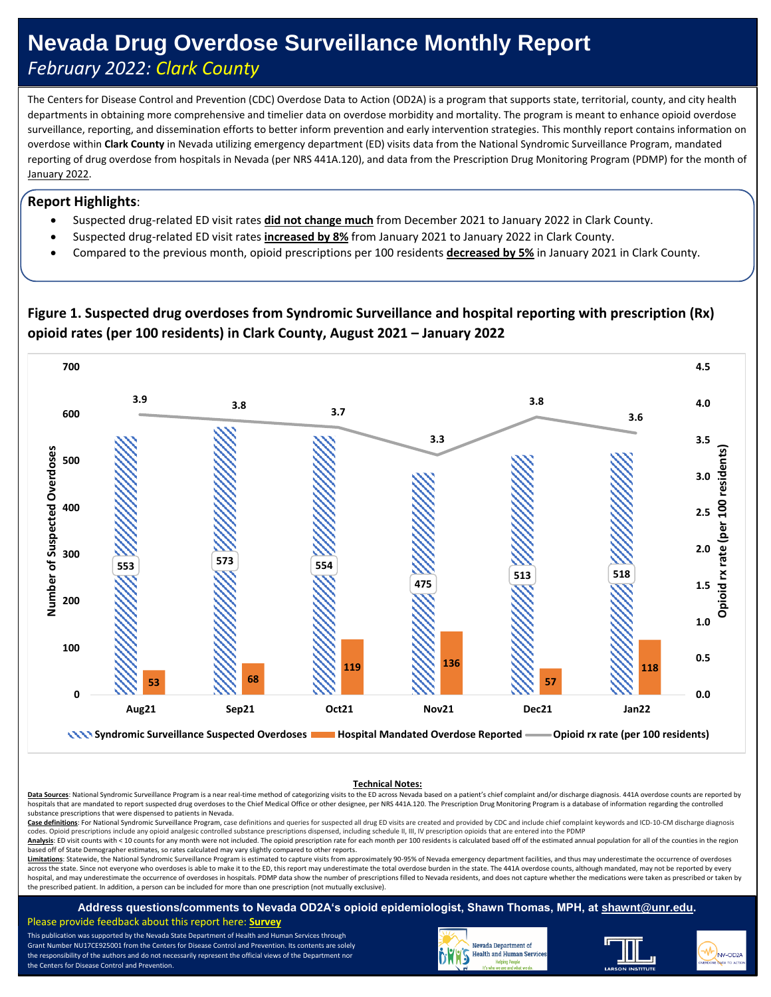# **Nevada Drug Overdose Surveillance Monthly Report** *February 2022: Clark County*

The Centers for Disease Control and Prevention (CDC) Overdose Data to Action (OD2A) is a program that supports state, territorial, county, and city health departments in obtaining more comprehensive and timelier data on overdose morbidity and mortality. The program is meant to enhance opioid overdose surveillance, reporting, and dissemination efforts to better inform prevention and early intervention strategies. This monthly report contains information on overdose within **Clark County** in Nevada utilizing emergency department (ED) visits data from the National Syndromic Surveillance Program, mandated reporting of drug overdose from hospitals in Nevada (per NRS 441A.120), and data from the Prescription Drug Monitoring Program (PDMP) for the month of January 2022.

#### **Report Highlights**:

- Suspected drug-related ED visit rates **did not change much** from December 2021 to January 2022 in Clark County.
- Suspected drug-related ED visit rates **increased by 8%** from January 2021 to January 2022 in Clark County.
- Compared to the previous month, opioid prescriptions per 100 residents **decreased by 5%** in January 2021 in Clark County.

### **Figure 1. Suspected drug overdoses from Syndromic Surveillance and hospital reporting with prescription (Rx) opioid rates (per 100 residents) in Clark County, August 2021 – January 2022**



#### **Technical Notes:**

Data Sources: National Syndromic Surveillance Program is a near real-time method of categorizing visits to the ED across Nevada based on a patient's chief complaint and/or discharge diagnosis. 441A overdose counts are repo hospitals that are mandated to report suspected drug overdoses to the Chief Medical Office or other designee, per NRS 441A.120. The Prescription Drug Monitoring Program is a database of information regarding the controlled substance prescriptions that were dispensed to patients in Nevada.

Case definitions: For National Syndromic Surveillance Program, case definitions and queries for suspected all drug ED visits are created and provided by CDC and include chief complaint keywords and ICD-10-CM discharge diag codes. Opioid prescriptions include any opioid analgesic controlled substance prescriptions dispensed, including schedule II, III, IV prescription opioids that are entered into the PDMF

Analysis: ED visit counts with < 10 counts for any month were not included. The opioid prescription rate for each month per 100 residents is calculated based off of the estimated annual population for all of the counties i based off of State Demographer estimates, so rates calculated may vary slightly compared to other reports.

Limitations: Statewide, the National Syndromic Surveillance Program is estimated to capture visits from approximately 90-95% of Nevada emergency department facilities, and thus may underestimate the occurrence of overdoses across the state. Since not everyone who overdoses is able to make it to the ED, this report may underestimate the total overdose burden in the state. The 441A overdose counts, although mandated, may not be reported by eve hospital, and may underestimate the occurrence of overdoses in hospitals. PDMP data show the number of prescriptions filled to Nevada residents, and does not capture whether the medications were taken as prescribed or take the prescribed patient. In addition, a person can be included for more than one prescription (not mutually exclusive).

**Address questions/comments to Nevada OD2A's opioid epidemiologist, Shawn Thomas, MPH, at [shawnt@unr.edu.](mailto:shawnt@unr.edu)** Please provide feedback about this report here: **[Survey](https://www.surveymonkey.com/r/PLGNF73)**

This publication was supported by the Nevada State Department of Health and Human Services through Grant Number NU17CE925001 from the Centers for Disease Control and Prevention. Its contents are solely the responsibility of the authors and do not necessarily represent the official views of the Department nor the Centers for Disease Control and Prevention.



j



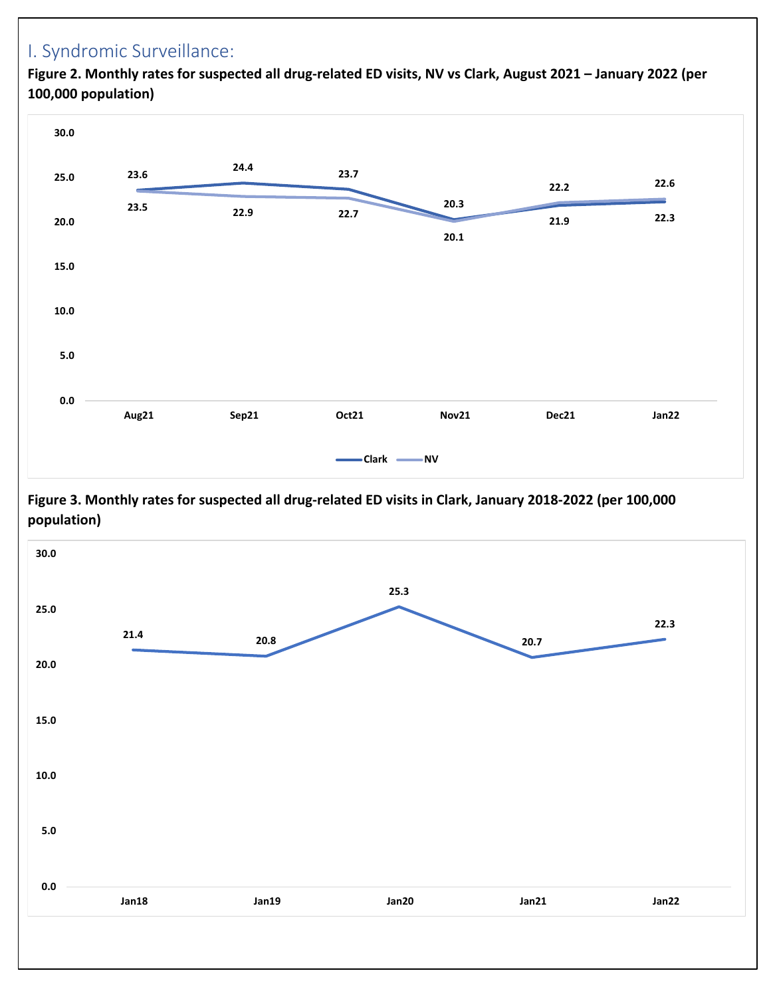## I. Syndromic Surveillance:

**0.0**

**5.0**

**100,000 population) 23.6 24.4 23.7 20.3 21.9 22.3 23.5 22.9 22.7 20.1 22.2 22.6 10.0 15.0 20.0 25.0 30.0**

 **Aug21 Sep21 Oct21 Nov21 Dec21 Jan22**

**Clark NV**

**Figure 2. Monthly rates for suspected all drug-related ED visits, NV vs Clark, August 2021 – January 2022 (per** 

**Figure 3. Monthly rates for suspected all drug-related ED visits in Clark, January 2018-2022 (per 100,000 population)**